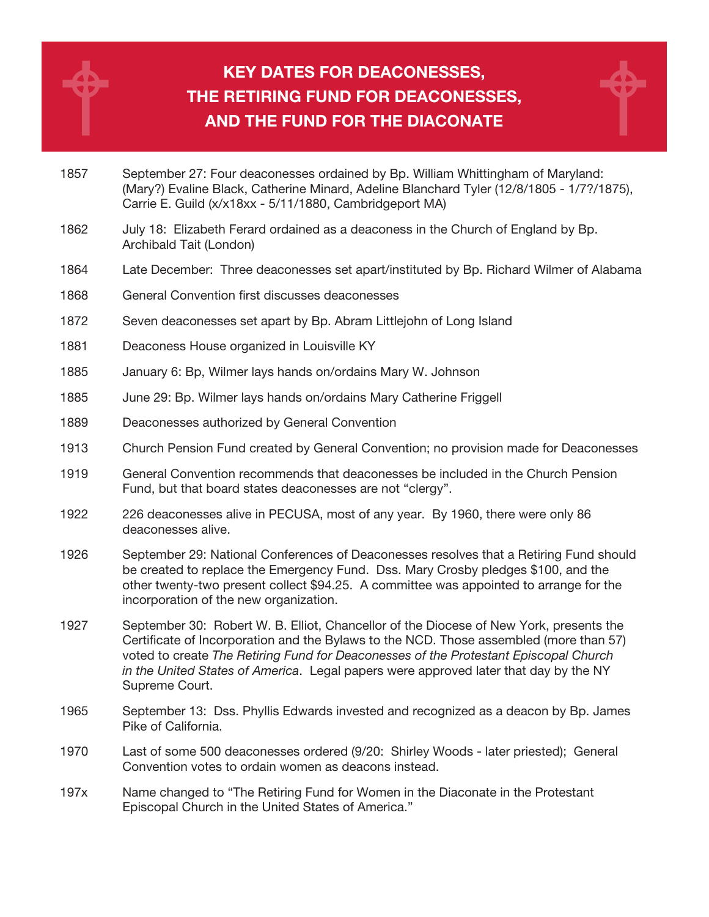

## KEY DATES FOR DEACONESSES, THE RETIRING FUND FOR DEACONESSES, AND THE FUND FOR THE DIACONATE



- 1862 July 18: Elizabeth Ferard ordained as a deaconess in the Church of England by Bp. Archibald Tait (London)
- 1864 Late December: Three deaconesses set apart/instituted by Bp. Richard Wilmer of Alabama
- 1868 General Convention first discusses deaconesses
- 1872 Seven deaconesses set apart by Bp. Abram Littlejohn of Long Island
- 1881 Deaconess House organized in Louisville KY
- 1885 January 6: Bp, Wilmer lays hands on/ordains Mary W. Johnson
- 1885 June 29: Bp. Wilmer lays hands on/ordains Mary Catherine Friggell
- 1889 Deaconesses authorized by General Convention
- 1913 Church Pension Fund created by General Convention; no provision made for Deaconesses
- 1919 General Convention recommends that deaconesses be included in the Church Pension Fund, but that board states deaconesses are not "clergy".
- 1922 226 deaconesses alive in PECUSA, most of any year. By 1960, there were only 86 deaconesses alive.
- 1926 September 29: National Conferences of Deaconesses resolves that a Retiring Fund should be created to replace the Emergency Fund. Dss. Mary Crosby pledges \$100, and the other twenty-two present collect \$94.25. A committee was appointed to arrange for the incorporation of the new organization.
- 1927 September 30: Robert W. B. Elliot, Chancellor of the Diocese of New York, presents the Certificate of Incorporation and the Bylaws to the NCD. Those assembled (more than 57) voted to create The Retiring Fund for Deaconesses of the Protestant Episcopal Church in the United States of America. Legal papers were approved later that day by the NY Supreme Court.
- 1965 September 13: Dss. Phyllis Edwards invested and recognized as a deacon by Bp. James Pike of California.
- 1970 Last of some 500 deaconesses ordered (9/20: Shirley Woods later priested); General Convention votes to ordain women as deacons instead.
- 197x Name changed to "The Retiring Fund for Women in the Diaconate in the Protestant Episcopal Church in the United States of America."